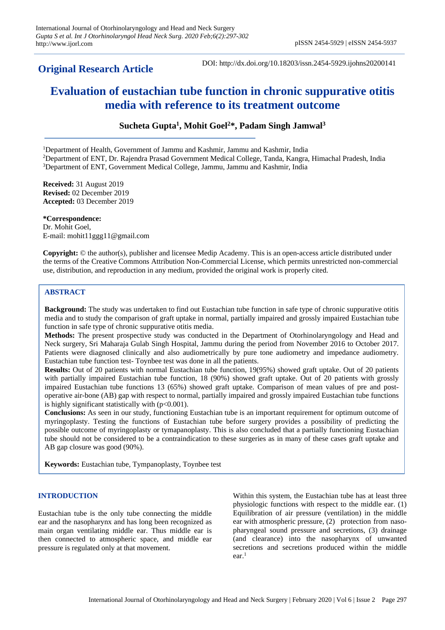# **Original Research Article**

DOI: http://dx.doi.org/10.18203/issn.2454-5929.ijohns20200141

# **Evaluation of eustachian tube function in chronic suppurative otitis media with reference to its treatment outcome**

**Sucheta Gupta<sup>1</sup> , Mohit Goel<sup>2</sup>\*, Padam Singh Jamwal<sup>3</sup>**

<sup>1</sup>Department of Health, Government of Jammu and Kashmir, Jammu and Kashmir, India <sup>2</sup>Department of ENT, Dr. Rajendra Prasad Government Medical College, Tanda, Kangra, Himachal Pradesh, India <sup>3</sup>Department of ENT, Government Medical College, Jammu, Jammu and Kashmir, India

**Received:** 31 August 2019 **Revised:** 02 December 2019 **Accepted:** 03 December 2019

**\*Correspondence:** Dr. Mohit Goel, E-mail: mohit11ggg11@gmail.com

**Copyright:** © the author(s), publisher and licensee Medip Academy. This is an open-access article distributed under the terms of the Creative Commons Attribution Non-Commercial License, which permits unrestricted non-commercial use, distribution, and reproduction in any medium, provided the original work is properly cited.

# **ABSTRACT**

**Background:** The study was undertaken to find out Eustachian tube function in safe type of chronic suppurative otitis media and to study the comparison of graft uptake in normal, partially impaired and grossly impaired Eustachian tube function in safe type of chronic suppurative otitis media.

**Methods:** The present prospective study was conducted in the Department of Otorhinolaryngology and Head and Neck surgery, Sri Maharaja Gulab Singh Hospital, Jammu during the period from November 2016 to October 2017. Patients were diagnosed clinically and also audiometrically by pure tone audiometry and impedance audiometry. Eustachian tube function test- Toynbee test was done in all the patients.

**Results:** Out of 20 patients with normal Eustachian tube function, 19(95%) showed graft uptake. Out of 20 patients with partially impaired Eustachian tube function, 18 (90%) showed graft uptake. Out of 20 patients with grossly impaired Eustachian tube functions 13 (65%) showed graft uptake. Comparison of mean values of pre and postoperative air-bone (AB) gap with respect to normal, partially impaired and grossly impaired Eustachian tube functions is highly significant statistically with  $(p<0.001)$ .

**Conclusions:** As seen in our study, functioning Eustachian tube is an important requirement for optimum outcome of myringoplasty. Testing the functions of Eustachian tube before surgery provides a possibility of predicting the possible outcome of myringoplasty or tymapanoplasty. This is also concluded that a partially functioning Eustachian tube should not be considered to be a contraindication to these surgeries as in many of these cases graft uptake and AB gap closure was good (90%).

**Keywords:** Eustachian tube, Tympanoplasty, Toynbee test

# **INTRODUCTION**

Eustachian tube is the only tube connecting the middle ear and the nasopharynx and has long been recognized as main organ ventilating middle ear. Thus middle ear is then connected to atmospheric space, and middle ear pressure is regulated only at that movement.

Within this system, the Eustachian tube has at least three physiologic functions with respect to the middle ear. (1) Equilibration of air pressure (ventilation) in the middle ear with atmospheric pressure, (2) protection from nasopharyngeal sound pressure and secretions, (3) drainage (and clearance) into the nasopharynx of unwanted secretions and secretions produced within the middle ear. 1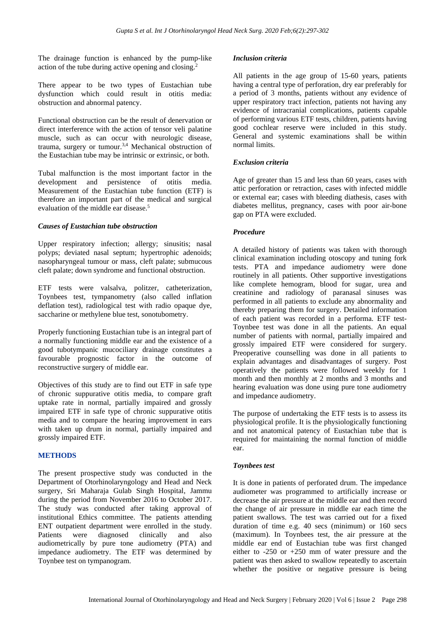The drainage function is enhanced by the pump-like action of the tube during active opening and closing. 2

There appear to be two types of Eustachian tube dysfunction which could result in otitis media: obstruction and abnormal patency.

Functional obstruction can be the result of denervation or direct interference with the action of tensor veli palatine muscle, such as can occur with neurologic disease, trauma, surgery or tumour. 3,4 Mechanical obstruction of the Eustachian tube may be intrinsic or extrinsic, or both.

Tubal malfunction is the most important factor in the development and persistence of otitis media. Measurement of the Eustachian tube function (ETF) is therefore an important part of the medical and surgical evaluation of the middle ear disease. 5

# *Causes of Eustachian tube obstruction*

Upper respiratory infection; allergy; sinusitis; nasal polyps; deviated nasal septum; hypertrophic adenoids; nasopharyngeal tumour or mass, cleft palate; submucous cleft palate; down syndrome and functional obstruction.

ETF tests were valsalva, politzer, catheterization, Toynbees test, tympanometry (also called inflation deflation test), radiological test with radio opaque dye, saccharine or methylene blue test, sonotubometry.

Properly functioning Eustachian tube is an integral part of a normally functioning middle ear and the existence of a good tubotympanic mucociliary drainage constitutes a favourable prognostic factor in the outcome of reconstructive surgery of middle ear.

Objectives of this study are to find out ETF in safe type of chronic suppurative otitis media, to compare graft uptake rate in normal, partially impaired and grossly impaired ETF in safe type of chronic suppurative otitis media and to compare the hearing improvement in ears with taken up drum in normal, partially impaired and grossly impaired ETF.

# **METHODS**

The present prospective study was conducted in the Department of Otorhinolaryngology and Head and Neck surgery, Sri Maharaja Gulab Singh Hospital, Jammu during the period from November 2016 to October 2017. The study was conducted after taking approval of institutional Ethics committee. The patients attending ENT outpatient department were enrolled in the study. Patients were diagnosed clinically and also audiometrically by pure tone audiometry (PTA) and impedance audiometry. The ETF was determined by Toynbee test on tympanogram.

#### *Inclusion criteria*

All patients in the age group of 15-60 years, patients having a central type of perforation, dry ear preferably for a period of 3 months, patients without any evidence of upper respiratory tract infection, patients not having any evidence of intracranial complications, patients capable of performing various ETF tests, children, patients having good cochlear reserve were included in this study. General and systemic examinations shall be within normal limits.

# *Exclusion criteria*

Age of greater than 15 and less than 60 years, cases with attic perforation or retraction, cases with infected middle or external ear; cases with bleeding diathesis, cases with diabetes mellitus, pregnancy, cases with poor air-bone gap on PTA were excluded.

# *Procedure*

A detailed history of patients was taken with thorough clinical examination including otoscopy and tuning fork tests. PTA and impedance audiometry were done routinely in all patients. Other supportive investigations like complete hemogram, blood for sugar, urea and creatinine and radiology of paranasal sinuses was performed in all patients to exclude any abnormality and thereby preparing them for surgery. Detailed information of each patient was recorded in a performa. ETF test-Toynbee test was done in all the patients. An equal number of patients with normal, partially impaired and grossly impaired ETF were considered for surgery. Preoperative counselling was done in all patients to explain advantages and disadvantages of surgery. Post operatively the patients were followed weekly for 1 month and then monthly at 2 months and 3 months and hearing evaluation was done using pure tone audiometry and impedance audiometry.

The purpose of undertaking the ETF tests is to assess its physiological profile. It is the physiologically functioning and not anatomical patency of Eustachian tube that is required for maintaining the normal function of middle ear.

#### *Toynbees test*

It is done in patients of perforated drum. The impedance audiometer was programmed to artificially increase or decrease the air pressure at the middle ear and then record the change of air pressure in middle ear each time the patient swallows. The test was carried out for a fixed duration of time e.g. 40 secs (minimum) or 160 secs (maximum). In Toynbees test, the air pressure at the middle ear end of Eustachian tube was first changed either to -250 or +250 mm of water pressure and the patient was then asked to swallow repeatedly to ascertain whether the positive or negative pressure is being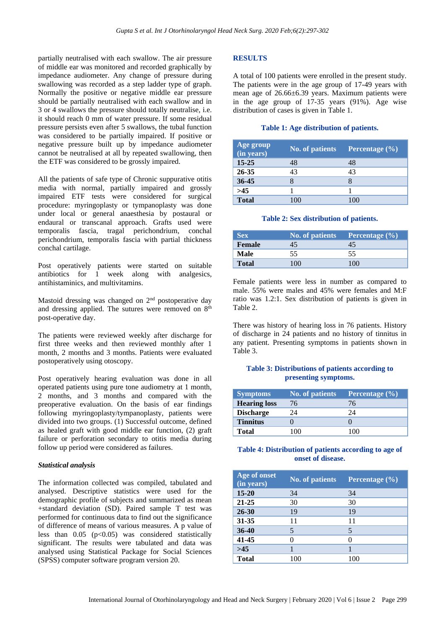partially neutralised with each swallow. The air pressure of middle ear was monitored and recorded graphically by impedance audiometer. Any change of pressure during swallowing was recorded as a step ladder type of graph. Normally the positive or negative middle ear pressure should be partially neutralised with each swallow and in 3 or 4 swallows the pressure should totally neutralise, i.e. it should reach 0 mm of water pressure. If some residual pressure persists even after 5 swallows, the tubal function was considered to be partially impaired. If positive or negative pressure built up by impedance audiometer cannot be neutralised at all by repeated swallowing, then the ETF was considered to be grossly impaired.

All the patients of safe type of Chronic suppurative otitis media with normal, partially impaired and grossly impaired ETF tests were considered for surgical procedure: myringoplasty or tympanoplasty was done under local or general anaesthesia by postaural or endaural or transcanal approach. Grafts used were temporalis fascia, tragal perichondrium, conchal perichondrium, temporalis fascia with partial thickness conchal cartilage.

Post operatively patients were started on suitable antibiotics for 1 week along with analgesics, antihistaminics, and multivitamins.

Mastoid dressing was changed on  $2<sup>nd</sup>$  postoperative day and dressing applied. The sutures were removed on  $8<sup>th</sup>$ post-operative day.

The patients were reviewed weekly after discharge for first three weeks and then reviewed monthly after 1 month, 2 months and 3 months. Patients were evaluated postoperatively using otoscopy.

Post operatively hearing evaluation was done in all operated patients using pure tone audiometry at 1 month, 2 months, and 3 months and compared with the preoperative evaluation. On the basis of ear findings following myringoplasty/tympanoplasty, patients were divided into two groups. (1) Successful outcome, defined as healed graft with good middle ear function, (2) graft failure or perforation secondary to otitis media during follow up period were considered as failures.

#### *Statistical analysis*

The information collected was compiled, tabulated and analysed. Descriptive statistics were used for the demographic profile of subjects and summarized as mean +standard deviation (SD). Paired sample T test was performed for continuous data to find out the significance of difference of means of various measures. A p value of less than  $0.05$  ( $p<0.05$ ) was considered statistically significant. The results were tabulated and data was analysed using Statistical Package for Social Sciences (SPSS) computer software program version 20.

# **RESULTS**

A total of 100 patients were enrolled in the present study. The patients were in the age group of 17-49 years with mean age of 26.66±6.39 years. Maximum patients were in the age group of 17-35 years (91%). Age wise distribution of cases is given in Table 1.

#### **Table 1: Age distribution of patients.**

| Age group<br>(in years) | <b>No. of patients</b> | Percentage $(\% )$ |
|-------------------------|------------------------|--------------------|
| $15 - 25$               | 48                     | 48                 |
| 26-35                   | 43                     | 43                 |
| $36 - 45$               |                        |                    |
| >45                     |                        |                    |
| <b>Total</b>            | 100                    | 100                |

#### **Table 2: Sex distribution of patients.**

| <b>Sex</b>    | No. of patients | <b>Percentage</b> $(\% )$ |
|---------------|-----------------|---------------------------|
| <b>Female</b> | 45              |                           |
| Male          | 55              | 55                        |
| <b>Total</b>  | 100             | 100                       |

Female patients were less in number as compared to male. 55% were males and 45% were females and M:F ratio was 1.2:1. Sex distribution of patients is given in Table 2.

There was history of hearing loss in 76 patients. History of discharge in 24 patients and no history of tinnitus in any patient. Presenting symptoms in patients shown in Table 3.

# **Table 3: Distributions of patients according to presenting symptoms.**

| <b>Symptoms</b>     | <b>No. of patients</b> | Percentage (%) |
|---------------------|------------------------|----------------|
| <b>Hearing loss</b> | 76                     | 76             |
| <b>Discharge</b>    | 24                     | 24             |
| <b>Tinnitus</b>     |                        |                |
| Total               | 100                    | ו זו           |

# **Table 4: Distribution of patients according to age of onset of disease.**

| Age of onset<br>(in years) | <b>No. of patients</b> | Percentage $(\% )$ |
|----------------------------|------------------------|--------------------|
| 15-20                      | 34                     | 34                 |
| 21-25                      | 30                     | 30                 |
| 26-30                      | 19                     | 19                 |
| 31-35                      | 11                     | 11                 |
| 36-40                      | 5                      | 5                  |
| 41-45                      | $\mathcal{O}$          |                    |
| >45                        |                        |                    |
| <b>Total</b>               | 100                    | 100                |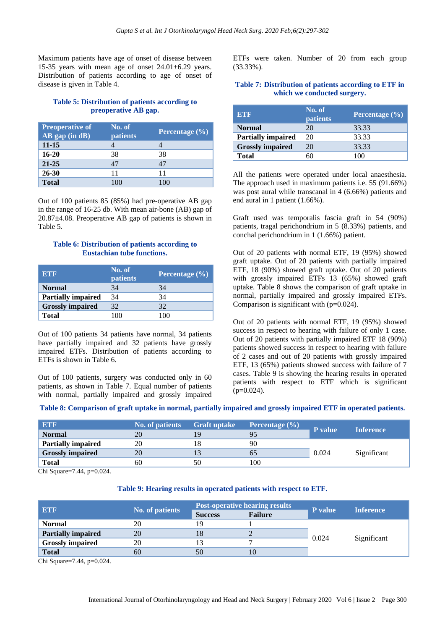Maximum patients have age of onset of disease between 15-35 years with mean age of onset  $24.01 \pm 6.29$  years. Distribution of patients according to age of onset of disease is given in Table 4.

# **Table 5: Distribution of patients according to preoperative AB gap.**

| <b>Preoperative of</b><br>AB gap (in dB) | No. of<br>patients | Percentage $(\% )$ |
|------------------------------------------|--------------------|--------------------|
| $11 - 15$                                |                    |                    |
| $16 - 20$                                | 38                 | 38                 |
| $21 - 25$                                | 47                 | 47                 |
| 26-30                                    | 11                 | 11                 |
| <b>Total</b>                             | 100                | 100                |

Out of 100 patients 85 (85%) had pre-operative AB gap in the range of 16-25 db. With mean air-bone (AB) gap of 20.87±4.08. Preoperative AB gap of patients is shown in Table 5.

#### **Table 6: Distribution of patients according to Eustachian tube functions.**

| <b>ETF</b>                | No. of<br>patients | Percentage $(\% )$ |
|---------------------------|--------------------|--------------------|
| <b>Normal</b>             | 34                 | 34                 |
| <b>Partially impaired</b> | 34                 | 34                 |
| <b>Grossly impaired</b>   | 32                 | 32                 |
| <b>Total</b>              | ו זו               |                    |

Out of 100 patients 34 patients have normal, 34 patients have partially impaired and 32 patients have grossly impaired ETFs. Distribution of patients according to ETFs is shown in Table 6.

Out of 100 patients, surgery was conducted only in 60 patients, as shown in Table 7. Equal number of patients with normal, partially impaired and grossly impaired ETFs were taken. Number of 20 from each group (33.33%).

# **Table 7: Distribution of patients according to ETF in which we conducted surgery.**

| <b>ETF</b>                | No. of<br>patients | Percentage $(\% )$ |
|---------------------------|--------------------|--------------------|
| <b>Normal</b>             | 20                 | 33.33              |
| <b>Partially impaired</b> | 20                 | 33.33              |
| <b>Grossly impaired</b>   | 20                 | 33.33              |
| <b>Total</b>              |                    | 100                |

All the patients were operated under local anaesthesia. The approach used in maximum patients i.e. 55 (91.66%) was post aural while transcanal in 4 (6.66%) patients and end aural in 1 patient (1.66%).

Graft used was temporalis fascia graft in 54 (90%) patients, tragal perichondrium in 5 (8.33%) patients, and conchal perichondrium in 1 (1.66%) patient.

Out of 20 patients with normal ETF, 19 (95%) showed graft uptake. Out of 20 patients with partially impaired ETF, 18 (90%) showed graft uptake. Out of 20 patients with grossly impaired ETFs 13 (65%) showed graft uptake. Table 8 shows the comparison of graft uptake in normal, partially impaired and grossly impaired ETFs. Comparison is significant with (p=0.024).

Out of 20 patients with normal ETF, 19 (95%) showed success in respect to hearing with failure of only 1 case. Out of 20 patients with partially impaired ETF 18 (90%) patients showed success in respect to hearing with failure of 2 cases and out of 20 patients with grossly impaired ETF, 13 (65%) patients showed success with failure of 7 cases. Table 9 is showing the hearing results in operated patients with respect to ETF which is significant  $(p=0.024)$ .

**Table 8: Comparison of graft uptake in normal, partially impaired and grossly impaired ETF in operated patients.**

| <b>ETF</b>                | <b>No. of patients</b> | <b>Graft uptake</b> | Percentage $(\%)$ | <b>P</b> value | <b>Inference</b> |
|---------------------------|------------------------|---------------------|-------------------|----------------|------------------|
| <b>Normal</b>             | 20                     | 19                  |                   |                |                  |
| <b>Partially impaired</b> | 20                     |                     | 90                |                |                  |
| <b>Grossly impaired</b>   | 20                     |                     |                   | 0.024          | Significant      |
| <b>Total</b>              | 60                     | 50                  | 100               |                |                  |

Chi Square=7.44, p=0.024.

#### **Table 9: Hearing results in operated patients with respect to ETF.**

| <b>ETF</b>                | <b>No. of patients</b> | <b>Post-operative hearing results</b> |                | P value | <b>Inference</b> |
|---------------------------|------------------------|---------------------------------------|----------------|---------|------------------|
|                           |                        | <b>Success</b>                        | <b>Failure</b> |         |                  |
| <b>Normal</b>             | 20                     | 19                                    |                | 0.024   | Significant      |
| <b>Partially impaired</b> | 20                     | 18                                    | ∠              |         |                  |
| <b>Grossly impaired</b>   | 20                     | 13                                    |                |         |                  |
| <b>Total</b>              | 60                     | 50                                    |                |         |                  |

Chi Square=7.44, p=0.024.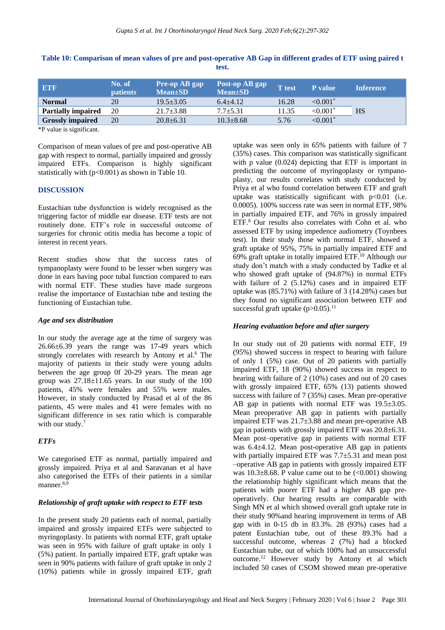| <b>ETF</b>                | No. of<br><b>patients</b> | Pre-op AB gap<br>$Mean \pm SD$ | Post-op AB gap<br>$Mean \pm SD$ | <b>T</b> test | <b>P</b> value | <b>Inference</b> |
|---------------------------|---------------------------|--------------------------------|---------------------------------|---------------|----------------|------------------|
| <b>Normal</b>             | 20                        | $19.5 + 3.05$                  | $6.4 + 4.12$                    | 16.28         | ${<}0.001*$    |                  |
| <b>Partially impaired</b> | 20                        | $21.7 \pm 3.88$                | $7.7 \pm 5.31$                  | 11.35         | $\leq 0.001$ * | <b>HS</b>        |
| <b>Grossly impaired</b>   | 20                        | $20.8 \pm 6.31$                | $10.3 \pm 8.68$                 | 5.76          | $< 0.001$ *    |                  |

**Table 10: Comparison of mean values of pre and post-operative AB Gap in different grades of ETF using paired t test.**

\*P value is significant.

Comparison of mean values of pre and post-operative AB gap with respect to normal, partially impaired and grossly impaired ETFs. Comparison is highly significant statistically with (p<0.001) as shown in Table 10.

#### **DISCUSSION**

Eustachian tube dysfunction is widely recognised as the triggering factor of middle ear disease. ETF tests are not routinely done. ETF's role in successful outcome of surgeries for chronic otitis media has become a topic of interest in recent years.

Recent studies show that the success rates of tympanoplasty were found to be lesser when surgery was done in ears having poor tubal function compared to ears with normal ETF. These studies have made surgeons realise the importance of Eustachian tube and testing the functioning of Eustachian tube.

#### *Age and sex distribution*

In our study the average age at the time of surgery was 26.66±6.39 years the range was 17-49 years which strongly correlates with research by Antony et al.<sup>6</sup> The majority of patients in their study were young adults between the age group 0f 20-29 years. The mean age group was  $27.18 \pm 11.65$  years. In our study of the 100 patients, 45% were females and 55% were males. However, in study conducted by Prasad et al of the 86 patients, 45 were males and 41 were females with no significant difference in sex ratio which is comparable with our study.<sup>7</sup>

# *ETFs*

We categorised ETF as normal, partially impaired and grossly impaired. Priya et al and Saravanan et al have also categorised the ETFs of their patients in a similar manner. 8,9

# *Relationship of graft uptake with respect to ETF tests*

In the present study 20 patients each of normal, partially impaired and grossly impaired ETFs were subjected to myringoplasty. In patients with normal ETF, graft uptake was seen in 95% with failure of graft uptake in only 1 (5%) patient. In partially impaired ETF, graft uptake was seen in 90% patients with failure of graft uptake in only 2 (10%) patients while in grossly impaired ETF, graft uptake was seen only in 65% patients with failure of 7 (35%) cases. This comparison was statistically significant with p value (0.024) depicting that ETF is important in predicting the outcome of myringoplasty or tympanoplasty, our results correlates with study conducted by Priya et al who found correlation between ETF and graft uptake was statistically significant with  $p<0.01$  (i.e. 0.0005). 100% success rate was seen in normal ETF, 98% in partially impaired ETF, and 76% in grossly impaired ETF. <sup>8</sup> Our results also correlates with Cohn et al. who assessed ETF by using impedence audiometry (Toynbees test). In their study those with normal ETF, showed a graft uptake of 95%, 75% in partially impaired ETF and 69% graft uptake in totally impaired ETF. <sup>10</sup> Although our study don't match with a study conducted by Tadke et al who showed graft uptake of (94.87%) in normal ETFs with failure of 2 (5.12%) cases and in impaired ETF uptake was (85.71%) with failure of 3 (14.28%) cases but they found no significant association between ETF and successful graft uptake  $(p>0.05)$ .<sup>11</sup>

# *Hearing evaluation before and after surgery*

In our study out of 20 patients with normal ETF, 19 (95%) showed success in respect to hearing with failure of only 1 (5%) case. Out of 20 patients with partially impaired ETF, 18 (90%) showed success in respect to hearing with failure of 2 (10%) cases and out of 20 cases with grossly impaired ETF, 65% (13) patients showed success with failure of 7 (35%) cases. Mean pre-operative AB gap in patients with normal ETF was 19.5±3.05. Mean preoperative AB gap in patients with partially impaired ETF was 21.7±3.88 and mean pre-operative AB gap in patients with grossly impaired ETF was 20.8±6.31. Mean post–operative gap in patients with normal ETF was 6.4±4.12. Mean post-operative AB gap in patients with partially impaired ETF was  $7.7\pm5.31$  and mean post –operative AB gap in patients with grossly impaired ETF was  $10.3\pm8.68$ . P value came out to be  $(<0.001)$  showing the relationship highly significant which means that the patients with poorer ETF had a higher AB gap preoperatively. Our hearing results are comparable with Singh MN et al which showed overall graft uptake rate in their study 90%and hearing improvement in terms of AB gap with in 0-15 db in 83.3%. 28 (93%) cases had a patent Eustachian tube, out of these 89.3% had a successful outcome, whereas 2 (7%) had a blocked Eustachian tube, out of which 100% had an unsuccessful outcome. <sup>12</sup> However study by Antony et al which included 50 cases of CSOM showed mean pre-operative